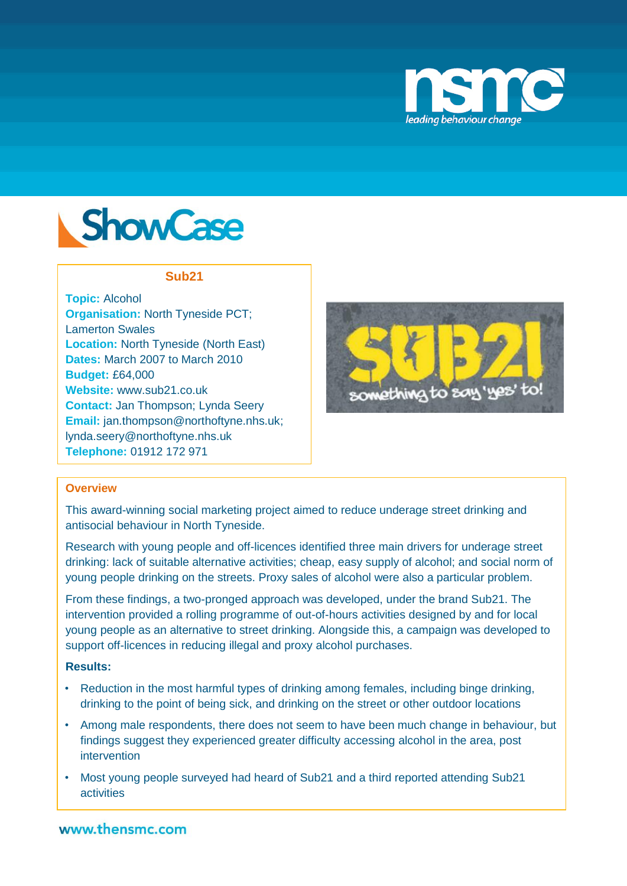



### **Sub21**

**Topic:** Alcohol **Organisation:** North Tyneside PCT; Lamerton Swales **Location:** North Tyneside (North East) **Dates:** March 2007 to March 2010 **Budget:** £64,000 **Website:** www.sub21.co.uk **Contact:** Jan Thompson; Lynda Seery **Email:** jan.thompson@northoftyne.nhs.uk; lynda.seery@northoftyne.nhs.uk **Telephone:** 01912 172 971



## **Overview**

This award-winning social marketing project aimed to reduce underage street drinking and antisocial behaviour in North Tyneside.

Research with young people and off-licences identified three main drivers for underage street drinking: lack of suitable alternative activities; cheap, easy supply of alcohol; and social norm of young people drinking on the streets. Proxy sales of alcohol were also a particular problem.

From these findings, a two-pronged approach was developed, under the brand Sub21. The intervention provided a rolling programme of out-of-hours activities designed by and for local young people as an alternative to street drinking. Alongside this, a campaign was developed to support off-licences in reducing illegal and proxy alcohol purchases.

## **Results:**

- Reduction in the most harmful types of drinking among females, including binge drinking, drinking to the point of being sick, and drinking on the street or other outdoor locations
- Among male respondents, there does not seem to have been much change in behaviour, but findings suggest they experienced greater difficulty accessing alcohol in the area, post intervention
- Most young people surveyed had heard of Sub21 and a third reported attending Sub21 activities

# www.thensmc.com